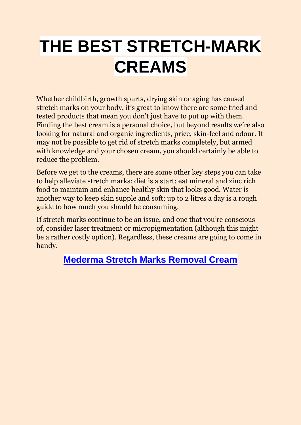# **THE BEST STRETCH-MARK CREAMS**

Whether childbirth, growth spurts, drying skin or aging has caused stretch marks on your body, it's great to know there are some tried and tested products that mean you don't just have to put up with them. Finding the best cream is a personal choice, but beyond results we're also looking for natural and organic ingredients, price, skin-feel and odour. It may not be possible to get rid of stretch marks completely, but armed with knowledge and your chosen cream, you should certainly be able to reduce the problem.

Before we get to the creams, there are some other key steps you can take to help alleviate stretch marks: diet is a start: eat mineral and zinc rich food to maintain and enhance healthy skin that looks good. Water is another way to keep skin supple and soft; up to 2 litres a day is a rough guide to how much you should be consuming.

If stretch marks continue to be an issue, and one that you're conscious of, consider laser treatment or micropigmentation (although this might be a rather costly option). Regardless, these creams are going to come in handy.

## **[Mederma Stretch Marks Removal Cream](https://www.mederma.com/stretch-marks-therapy/)**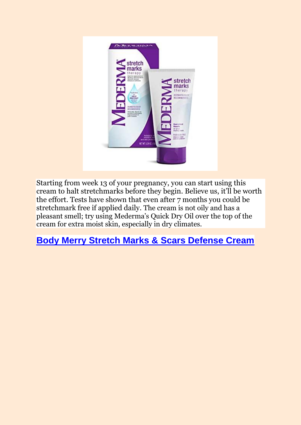

Starting from week 13 of your pregnancy, you can start using this cream to halt stretchmarks before they begin. Believe us, it'll be worth the effort. Tests have shown that even after 7 months you could be stretchmark free if applied daily. The cream is not oily and has a pleasant smell; try using Mederma's Quick Dry Oil over the top of the cream for extra moist skin, especially in dry climates.

#### **[Body Merry Stretch Marks & Scars Defense Cream](https://www.bodymerry.com/products/best-stretch-marks-cream-removal)**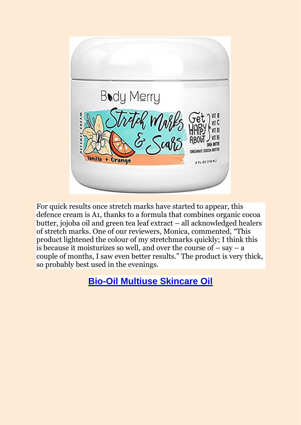

For quick results once stretch marks have started to appear, this defence cream is A1, thanks to a formula that combines organic cocoa butter, jojoba oil and green tea leaf extract – all acknowledged healers of stretch marks. One of our reviewers, Monica, commented, "This product lightened the colour of my stretchmarks quickly; I think this is because it moisturizes so well, and over the course of  $-$  say  $-$  a couple of months, I saw even better results." The product is very thick, so probably best used in the evenings.

# **[Bio-Oil Multiuse Skincare Oil](https://www.bio-oil.com/en)**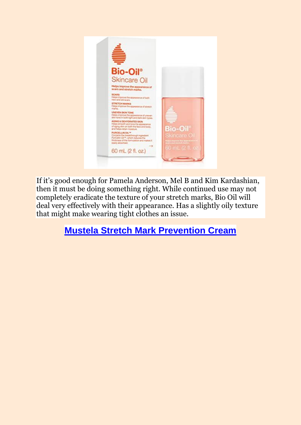

If it's good enough for Pamela Anderson, Mel B and Kim Kardashian, then it must be doing something right. While continued use may not completely eradicate the texture of your stretch marks, Bio Oil will deal very effectively with their appearance. Has a slightly oily texture that might make wearing tight clothes an issue.

# **[Mustela Stretch Mark Prevention Cream](https://www.mustela.com/en/stretch-marks-cream)**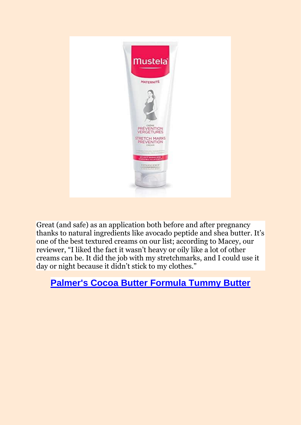

Great (and safe) as an application both before and after pregnancy thanks to natural ingredients like avocado peptide and shea butter. It's one of the best textured creams on our list; according to Macey, our reviewer, "I liked the fact it wasn't heavy or oily like a lot of other creams can be. It did the job with my stretchmarks, and I could use it day or night because it didn't stick to my clothes."

## **[Palmer's Cocoa Butter Formula Tummy Butter](https://uk.palmers.com/)**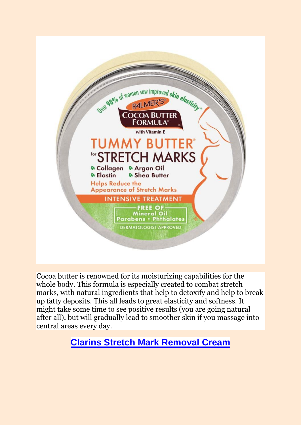

Cocoa butter is renowned for its moisturizing capabilities for the whole body. This formula is especially created to combat stretch marks, with natural ingredients that help to detoxify and help to break up fatty deposits. This all leads to great elasticity and softness. It might take some time to see positive results (you are going natural after all), but will gradually lead to smoother skin if you massage into central areas every day.

## **[Clarins Stretch Mark Removal Cream](https://www.clarins.co.uk/offers/specialoffers/?&gclsrc=aw.ds&&gclid=CjwKCAjwyo36BRAXEiwA24CwGdeHTMzjCUBKlqrnj69NtLDu5vhh7pUt0gi-vzlx5MxoKAe9vp_mxxoCz6sQAvD_BwE&gclsrc=aw.ds)**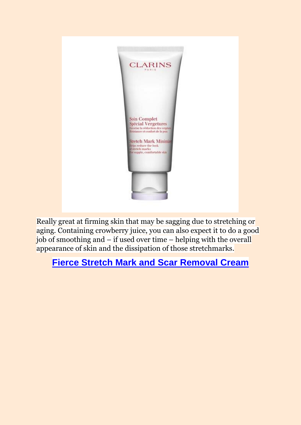

Really great at firming skin that may be sagging due to stretching or aging. Containing crowberry juice, you can also expect it to do a good job of smoothing and – if used over time – helping with the overall appearance of skin and the dissipation of those stretchmarks.

#### **[Fierce Stretch Mark and Scar Removal Cream](https://www.pinterest.co.uk/pin/745205069571000319/)**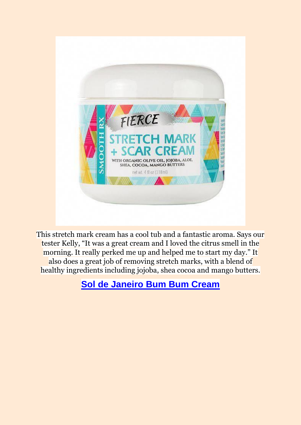

This stretch mark cream has a cool tub and a fantastic aroma. Says our tester Kelly, "It was a great cream and I loved the citrus smell in the morning. It really perked me up and helped me to start my day." It also does a great job of removing stretch marks, with a blend of healthy ingredients including jojoba, shea cocoa and mango butters.

**[Sol de Janeiro Bum Bum Cream](https://soldejaneiro.com/products/brazilian-bum-bum-cream)**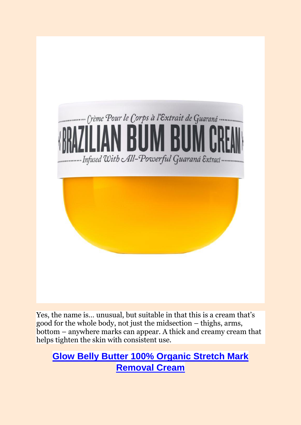

Yes, the name is… unusual, but suitable in that this is a cream that's good for the whole body, not just the midsection – thighs, arms, bottom – anywhere marks can appear. A thick and creamy cream that helps tighten the skin with consistent use.

**[Glow Belly Butter 100% Organic Stretch Mark](https://www.gloworganics.co/products/belly-butter)  [Removal Cream](https://www.gloworganics.co/products/belly-butter)**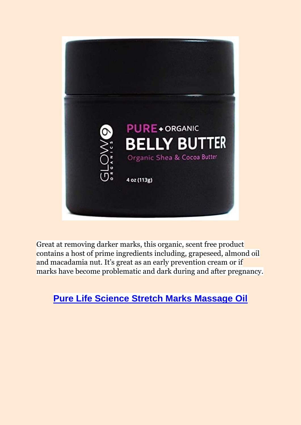

Great at removing darker marks, this organic, scent free product contains a host of prime ingredients including, grapeseed, almond oil and macadamia nut. It's great as an early prevention cream or if marks have become problematic and dark during and after pregnancy.

## **[Pure Life Science Stretch Marks Massage Oil](https://www.amazon.com/Anti-Stretch-Marks-Massage-Oil/dp/B076J1VRB4)**